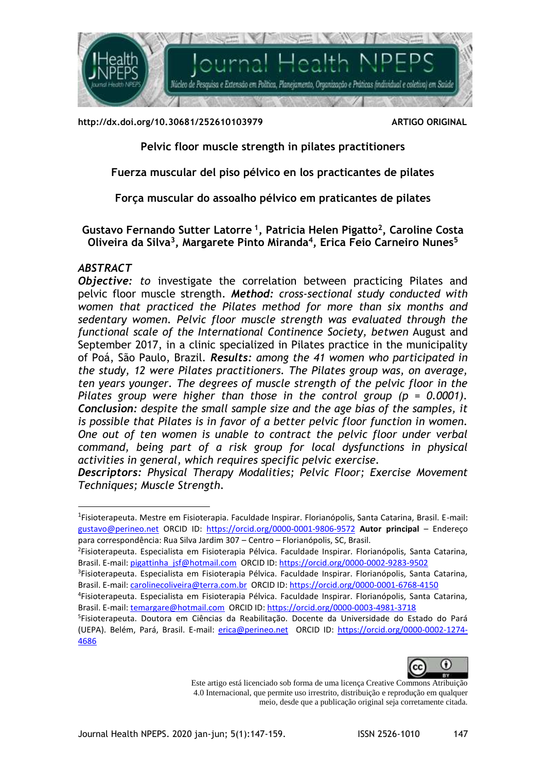

**http://dx.doi.org/10.30681/252610103979 ARTIGO ORIGINAL**

**Pelvic floor muscle strength in pilates practitioners**

**Fuerza muscular del piso pélvico en los practicantes de pilates**

**Força muscular do assoalho pélvico em praticantes de pilates**

**Gustavo Fernando Sutter Latorre <sup>1</sup> , Patricia Helen Pigatto<sup>2</sup> , Caroline Costa Oliveira da Silva<sup>3</sup> , Margarete Pinto Miranda<sup>4</sup> , Erica Feio Carneiro Nunes<sup>5</sup>**

# *ABSTRACT*

<u>.</u>

*Objective: to* investigate the correlation between practicing Pilates and pelvic floor muscle strength. *Method: cross-sectional study conducted with women that practiced the Pilates method for more than six months and sedentary women. Pelvic floor muscle strength was evaluated through the functional scale of the International Continence Society, betwen* August and September 2017, in a clinic specialized in Pilates practice in the municipality of Poá, São Paulo, Brazil. *Results: among the 41 women who participated in the study, 12 were Pilates practitioners. The Pilates group was, on average, ten years younger. The degrees of muscle strength of the pelvic floor in the Pilates group were higher than those in the control group (p = 0.0001). Conclusion: despite the small sample size and the age bias of the samples, it is possible that Pilates is in favor of a better pelvic floor function in women. One out of ten women is unable to contract the pelvic floor under verbal command, being part of a risk group for local dysfunctions in physical activities in general, which requires specific pelvic exercise.*

*Descriptors: Physical Therapy Modalities; Pelvic Floor; Exercise Movement Techniques; Muscle Strength.*

<sup>5</sup> Fisioterapeuta. Doutora em Ciências da Reabilitação. Docente da Universidade do Estado do Pará (UEPA). Belém, Pará, Brasil. E-mail: [erica@perineo.net](mailto:erica@perineo.net) ORCID ID: [https://orcid.org/0000-0002-1274-](https://orcid.org/0000-0002-1274-4686) [4686](https://orcid.org/0000-0002-1274-4686) 



Este artigo está licenciado sob forma de uma licença Creative Commons Atribuição 4.0 Internacional, que permite uso irrestrito, distribuição e reprodução em qualquer meio, desde que a publicação original seja corretamente citada.

<sup>1</sup> Fisioterapeuta. Mestre em Fisioterapia. Faculdade Inspirar. Florianópolis, Santa Catarina, Brasil. E-mail: [gustavo@perineo.net](mailto:gustavo@perineo.nett) ORCID ID: <https://orcid.org/0000-0001-9806-9572> **Autor principal** – Endereço para correspondência: Rua Silva Jardim 307 – Centro – Florianópolis, SC, Brasil.

<sup>2</sup> Fisioterapeuta. Especialista em Fisioterapia Pélvica. Faculdade Inspirar. Florianópolis, Santa Catarina, Brasil. E-mail: [pigattinha\\_jsf@hotmail.com](mailto:pigattinha_jsf@hotmail.com) ORCID ID[: https://orcid.org/0000-0002-9283-9502](https://orcid.org/0000-0002-9283-9502)

<sup>3</sup> Fisioterapeuta. Especialista em Fisioterapia Pélvica. Faculdade Inspirar. Florianópolis, Santa Catarina, Brasil. E-mail: [carolinecoliveira@terra.com.br](mailto:carolinecoliveira@terra.com.br) ORCID ID:<https://orcid.org/0000-0001-6768-4150>

<sup>4</sup> Fisioterapeuta. Especialista em Fisioterapia Pélvica. Faculdade Inspirar. Florianópolis, Santa Catarina, Brasil. E-mail: [temargare@hotmail.com](mailto:temargare@hotmail.com) ORCID ID[: https://orcid.org/0000-0003-4981-3718](https://orcid.org/0000-0003-4981-3718)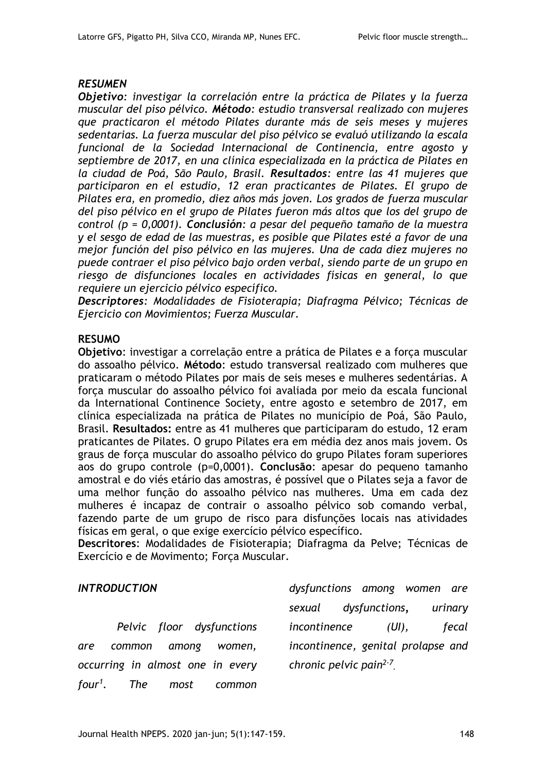## *RESUMEN*

*Objetivo: investigar la correlación entre la práctica de Pilates y la fuerza muscular del piso pélvico. Método: estudio transversal realizado con mujeres que practicaron el método Pilates durante más de seis meses y mujeres sedentarias. La fuerza muscular del piso pélvico se evaluó utilizando la escala funcional de la Sociedad Internacional de Continencia, entre agosto y septiembre de 2017, en una clínica especializada en la práctica de Pilates en la ciudad de Poá, São Paulo, Brasil. Resultados: entre las 41 mujeres que participaron en el estudio, 12 eran practicantes de Pilates. El grupo de Pilates era, en promedio, diez años más joven. Los grados de fuerza muscular del piso pélvico en el grupo de Pilates fueron más altos que los del grupo de control (p = 0,0001). Conclusión: a pesar del pequeño tamaño de la muestra y el sesgo de edad de las muestras, es posible que Pilates esté a favor de una mejor función del piso pélvico en las mujeres. Una de cada diez mujeres no puede contraer el piso pélvico bajo orden verbal, siendo parte de un grupo en riesgo de disfunciones locales en actividades físicas en general, lo que requiere un ejercicio pélvico específico.*

*Descriptores: Modalidades de Fisioterapia; Diafragma Pélvico; Técnicas de Ejercicio con Movimientos; Fuerza Muscular.*

# **RESUMO**

**Objetivo**: investigar a correlação entre a prática de Pilates e a força muscular do assoalho pélvico. **Método**: estudo transversal realizado com mulheres que praticaram o método Pilates por mais de seis meses e mulheres sedentárias. A força muscular do assoalho pélvico foi avaliada por meio da escala funcional da International Continence Society, entre agosto e setembro de 2017, em clínica especializada na prática de Pilates no município de Poá, São Paulo, Brasil. **Resultados:** entre as 41 mulheres que participaram do estudo, 12 eram praticantes de Pilates. O grupo Pilates era em média dez anos mais jovem. Os graus de força muscular do assoalho pélvico do grupo Pilates foram superiores aos do grupo controle (p=0,0001). **Conclusão**: apesar do pequeno tamanho amostral e do viés etário das amostras, é possível que o Pilates seja a favor de uma melhor função do assoalho pélvico nas mulheres. Uma em cada dez mulheres é incapaz de contrair o assoalho pélvico sob comando verbal, fazendo parte de um grupo de risco para disfunções locais nas atividades físicas em geral, o que exige exercício pélvico específico.

**Descritores**: Modalidades de Fisioterapia; Diafragma da Pelve; Técnicas de Exercício e de Movimento; Forca Muscular.

# *INTRODUCTION*

*Pelvic floor dysfunctions are common among women, occurring in almost one in every four<sup>1</sup> . The most common* 

*dysfunctions among women are sexual dysfunctions, urinary incontinence (UI), fecal incontinence, genital prolapse and chronic pelvic pain2-7 .*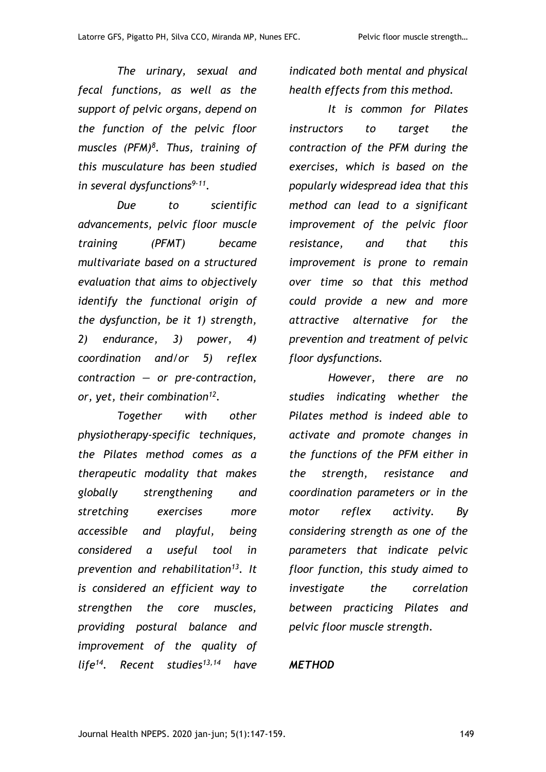*The urinary, sexual and fecal functions, as well as the support of pelvic organs, depend on the function of the pelvic floor muscles (PFM)<sup>8</sup> . Thus, training of this musculature has been studied in several dysfunctions9-11 .*

*Due to scientific advancements, pelvic floor muscle training (PFMT) became multivariate based on a structured evaluation that aims to objectively identify the functional origin of the dysfunction, be it 1) strength, 2) endurance, 3) power, 4) coordination and/or 5) reflex contraction — or pre-contraction, or, yet, their combination<sup>12</sup> .*

*Together with other physiotherapy-specific techniques, the Pilates method comes as a therapeutic modality that makes globally strengthening and stretching exercises more accessible and playful, being considered a useful tool in prevention and rehabilitation<sup>13</sup>. It is considered an efficient way to strengthen the core muscles, providing postural balance and improvement of the quality of life<sup>14</sup>. Recent studies13,14 have* 

*indicated both mental and physical health effects from this method.* 

*It is common for Pilates instructors to target the contraction of the PFM during the exercises, which is based on the popularly widespread idea that this method can lead to a significant improvement of the pelvic floor resistance, and that this improvement is prone to remain over time so that this method could provide a new and more attractive alternative for the prevention and treatment of pelvic floor dysfunctions.* 

*However, there are no studies indicating whether the Pilates method is indeed able to activate and promote changes in the functions of the PFM either in the strength, resistance and coordination parameters or in the motor reflex activity. By considering strength as one of the parameters that indicate pelvic floor function, this study aimed to investigate the correlation between practicing Pilates and pelvic floor muscle strength.*

# *METHOD*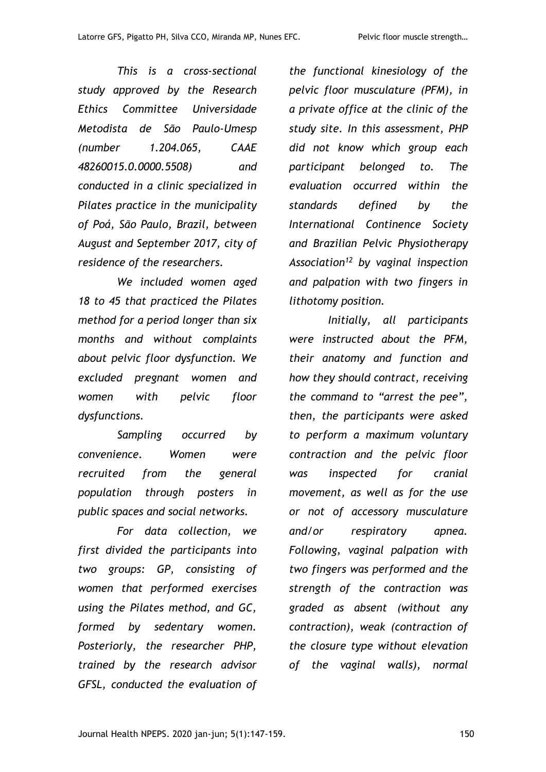*This is a cross-sectional study approved by the Research Ethics Committee Universidade Metodista de São Paulo-Umesp (number 1.204.065, CAAE 48260015.0.0000.5508) and conducted in a clinic specialized in Pilates practice in the municipality of Poá, São Paulo, Brazil, between August and September 2017, city of residence of the researchers.*

*We included women aged 18 to 45 that practiced the Pilates method for a period longer than six months and without complaints about pelvic floor dysfunction. We excluded pregnant women and women with pelvic floor dysfunctions.*

*Sampling occurred by convenience. Women were recruited from the general population through posters in public spaces and social networks.* 

*For data collection, we first divided the participants into two groups: GP, consisting of women that performed exercises using the Pilates method, and GC, formed by sedentary women. Posteriorly, the researcher PHP, trained by the research advisor GFSL, conducted the evaluation of* 

*the functional kinesiology of the pelvic floor musculature (PFM), in a private office at the clinic of the study site. In this assessment, PHP did not know which group each participant belonged to. The evaluation occurred within the standards defined by the International Continence Society and Brazilian Pelvic Physiotherapy Association<sup>12</sup> by vaginal inspection and palpation with two fingers in lithotomy position.* 

*Initially, all participants were instructed about the PFM, their anatomy and function and how they should contract, receiving the command to "arrest the pee", then, the participants were asked to perform a maximum voluntary contraction and the pelvic floor was inspected for cranial movement, as well as for the use or not of accessory musculature and/or respiratory apnea. Following, vaginal palpation with two fingers was performed and the strength of the contraction was graded as absent (without any contraction), weak (contraction of the closure type without elevation of the vaginal walls), normal*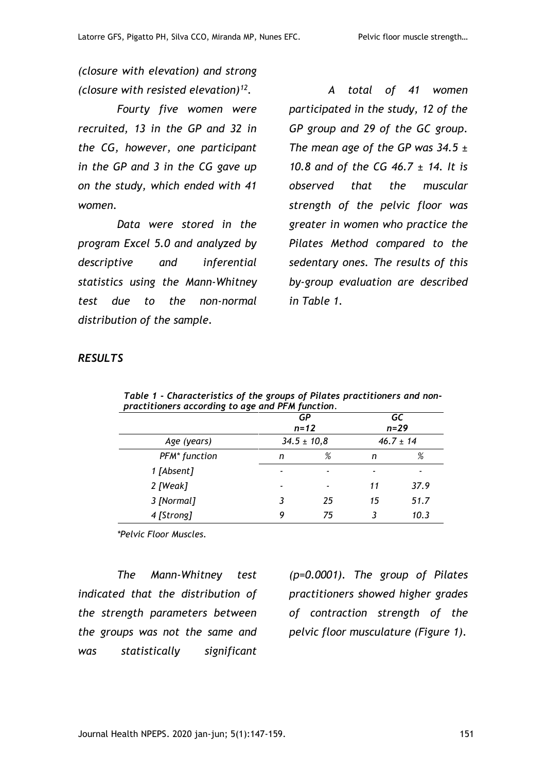*(closure with elevation) and strong (closure with resisted elevation)<sup>12</sup> .* 

*Fourty five women were recruited, 13 in the GP and 32 in the CG, however, one participant in the GP and 3 in the CG gave up on the study, which ended with 41 women.*

*Data were stored in the program Excel 5.0 and analyzed by descriptive and inferential statistics using the Mann-Whitney test due to the non-normal distribution of the sample.*

*A total of 41 women participated in the study, 12 of the GP group and 29 of the GC group. The mean age of the GP was 34.5 ± 10.8 and of the CG 46.7 ± 14. It is observed that the muscular strength of the pelvic floor was greater in women who practice the Pilates Method compared to the sedentary ones. The results of this by-group evaluation are described in Table 1.*

### *RESULTS*

| practitioners accoraing to age and PFM function. |                 |    |                |      |
|--------------------------------------------------|-----------------|----|----------------|------|
|                                                  | GР<br>$n = 12$  |    | GC<br>$n = 29$ |      |
| Age (years)                                      | $34.5 \pm 10.8$ |    | $46.7 \pm 14$  |      |
| PFM <sup>*</sup> function                        | n               | %  | n              | %    |
| 1 [Absent]                                       |                 |    |                |      |
| 2 [Weak]                                         |                 |    | 11             | 37.9 |
| 3 [Normal]                                       |                 | 25 | 15             | 51.7 |
| 4 [Strong]                                       | 9               | 75 |                | 10.3 |

*Table 1 - Characteristics of the groups of Pilates practitioners and nonpractitioners according to age and PFM function.*

*\*Pelvic Floor Muscles.*

*The Mann-Whitney test indicated that the distribution of the strength parameters between the groups was not the same and was statistically significant* 

*(p=0.0001). The group of Pilates practitioners showed higher grades of contraction strength of the pelvic floor musculature (Figure 1).*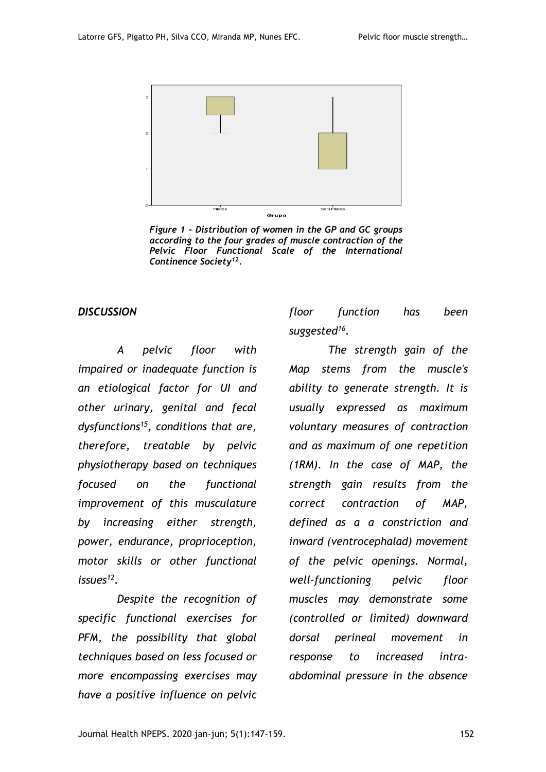

*Figure 1 - Distribution of women in the GP and GC groups according to the four grades of muscle contraction of the Pelvic Floor Functional Scale of the International Continence Society<sup>12</sup> .*

#### *DISCUSSION*

*A pelvic floor with impaired or inadequate function is an etiological factor for UI and other urinary, genital and fecal dysfunctions<sup>15</sup>, conditions that are, therefore, treatable by pelvic physiotherapy based on techniques focused on the functional improvement of this musculature by increasing either strength, power, endurance, proprioception, motor skills or other functional issues<sup>12</sup> .*

*Despite the recognition of specific functional exercises for PFM, the possibility that global techniques based on less focused or more encompassing exercises may have a positive influence on pelvic* 

*floor function has been suggested<sup>16</sup> .* 

*The strength gain of the Map stems from the muscle's ability to generate strength. It is usually expressed as maximum voluntary measures of contraction and as maximum of one repetition (1RM). In the case of MAP, the strength gain results from the correct contraction of MAP, defined as a a constriction and inward (ventrocephalad) movement of the pelvic openings. Normal, well-functioning pelvic floor muscles may demonstrate some (controlled or limited) downward dorsal perineal movement in response to increased intraabdominal pressure in the absence*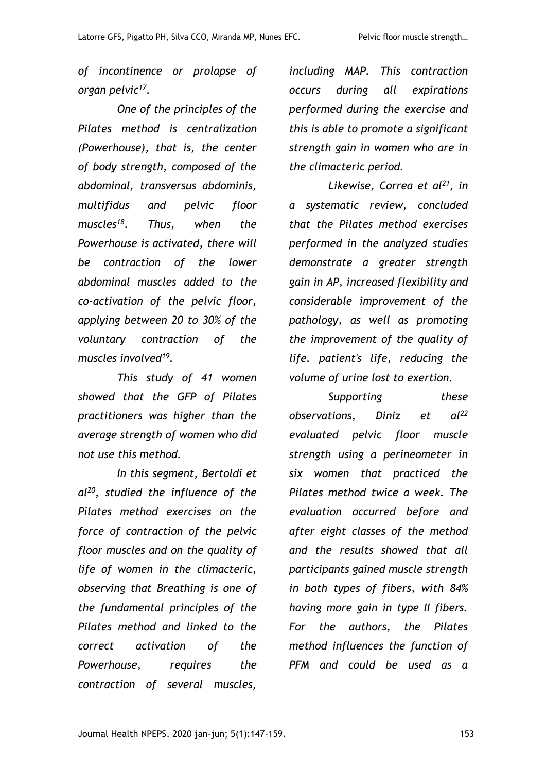*of incontinence or prolapse of organ pelvic<sup>17</sup> .*

*One of the principles of the Pilates method is centralization (Powerhouse), that is, the center of body strength, composed of the abdominal, transversus abdominis, multifidus and pelvic floor muscles<sup>18</sup>. Thus, when the Powerhouse is activated, there will be contraction of the lower abdominal muscles added to the co-activation of the pelvic floor, applying between 20 to 30% of the voluntary contraction of the muscles involved<sup>19</sup> .*

*This study of 41 women showed that the GFP of Pilates practitioners was higher than the average strength of women who did not use this method.*

*In this segment, Bertoldi et al<sup>20</sup>, studied the influence of the Pilates method exercises on the force of contraction of the pelvic floor muscles and on the quality of life of women in the climacteric, observing that Breathing is one of the fundamental principles of the Pilates method and linked to the correct activation of the Powerhouse, requires the contraction of several muscles,* 

*including MAP. This contraction occurs during all expirations performed during the exercise and this is able to promote a significant strength gain in women who are in the climacteric period.*

*Likewise, Correa et al<sup>21</sup>, in a systematic review, concluded that the Pilates method exercises performed in the analyzed studies demonstrate a greater strength gain in AP, increased flexibility and considerable improvement of the pathology, as well as promoting the improvement of the quality of life. patient's life, reducing the volume of urine lost to exertion.*

*Supporting these observations, Diniz et al<sup>22</sup> evaluated pelvic floor muscle strength using a perineometer in six women that practiced the Pilates method twice a week. The evaluation occurred before and after eight classes of the method and the results showed that all participants gained muscle strength in both types of fibers, with 84% having more gain in type II fibers. For the authors, the Pilates method influences the function of PFM and could be used as a*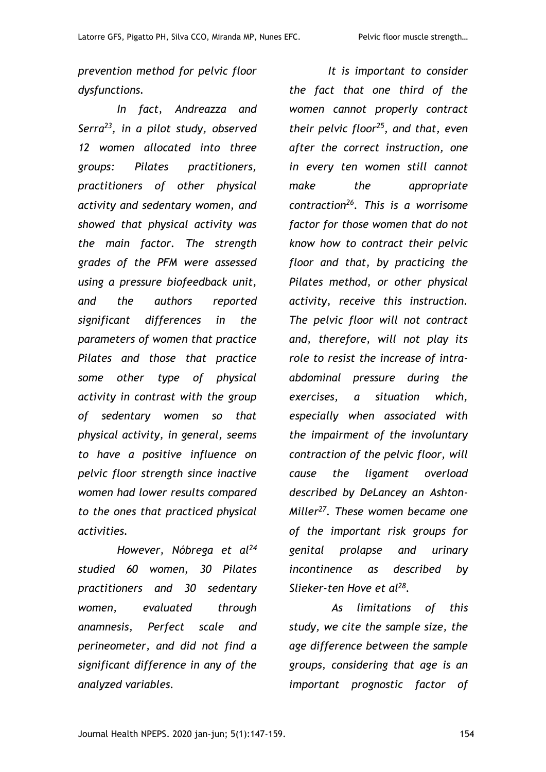*prevention method for pelvic floor dysfunctions.*

*In fact, Andreazza and Serra<sup>23</sup>, in a pilot study, observed 12 women allocated into three groups: Pilates practitioners, practitioners of other physical activity and sedentary women, and showed that physical activity was the main factor. The strength grades of the PFM were assessed using a pressure biofeedback unit, and the authors reported significant differences in the parameters of women that practice Pilates and those that practice some other type of physical activity in contrast with the group of sedentary women so that physical activity, in general, seems to have a positive influence on pelvic floor strength since inactive women had lower results compared to the ones that practiced physical activities.*

*However, Nóbrega et al<sup>24</sup> studied 60 women, 30 Pilates practitioners and 30 sedentary women, evaluated through anamnesis, Perfect scale and perineometer, and did not find a significant difference in any of the analyzed variables.* 

*It is important to consider the fact that one third of the women cannot properly contract their pelvic floor<sup>25</sup>, and that, even after the correct instruction, one in every ten women still cannot make the appropriate contraction<sup>26</sup>. This is a worrisome factor for those women that do not know how to contract their pelvic floor and that, by practicing the Pilates method, or other physical activity, receive this instruction. The pelvic floor will not contract and, therefore, will not play its role to resist the increase of intraabdominal pressure during the exercises, a situation which, especially when associated with the impairment of the involuntary contraction of the pelvic floor, will cause the ligament overload described by DeLancey an Ashton-Miller<sup>27</sup>. These women became one of the important risk groups for genital prolapse and urinary incontinence as described by Slieker-ten Hove et al<sup>28</sup> .* 

*As limitations of this study, we cite the sample size, the age difference between the sample groups, considering that age is an important prognostic factor of*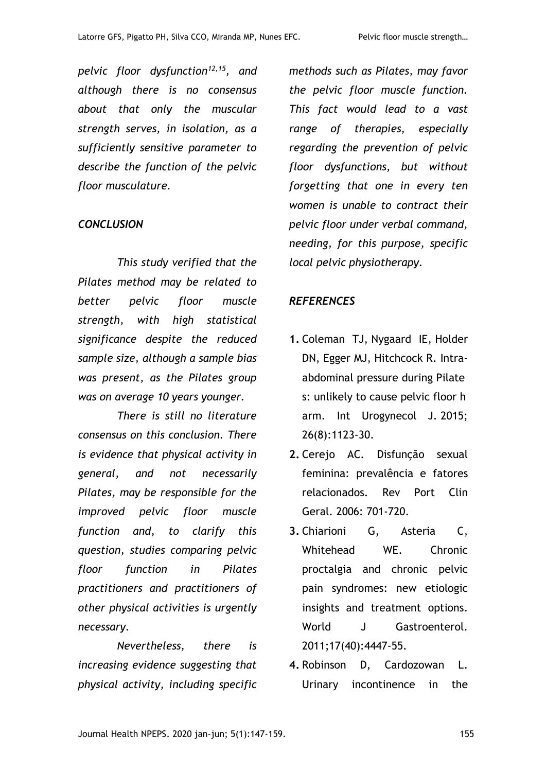*pelvic floor dysfunction12,15, and although there is no consensus about that only the muscular strength serves, in isolation, as a sufficiently sensitive parameter to describe the function of the pelvic floor musculature.*

### *CONCLUSION*

*This study verified that the Pilates method may be related to better pelvic floor muscle strength, with high statistical significance despite the reduced sample size, although a sample bias was present, as the Pilates group was on average 10 years younger.*

*There is still no literature consensus on this conclusion. There is evidence that physical activity in general, and not necessarily Pilates, may be responsible for the improved pelvic floor muscle function and, to clarify this question, studies comparing pelvic floor function in Pilates practitioners and practitioners of other physical activities is urgently necessary.* 

*Nevertheless, there is increasing evidence suggesting that physical activity, including specific* 

*methods such as Pilates, may favor the pelvic floor muscle function. This fact would lead to a vast range of therapies, especially regarding the prevention of pelvic floor dysfunctions, but without forgetting that one in every ten women is unable to contract their pelvic floor under verbal command, needing, for this purpose, specific local pelvic physiotherapy.*

### *REFERENCES*

- **1.** [Coleman TJ,](http://www.ncbi.nlm.nih.gov/pubmed/?term=Coleman%20TJ%5BAuthor%5D&cauthor=true&cauthor_uid=25672647) [Nygaard IE,](http://www.ncbi.nlm.nih.gov/pubmed/?term=Nygaard%20IE%5BAuthor%5D&cauthor=true&cauthor_uid=25672647) [Holder](http://www.ncbi.nlm.nih.gov/pubmed/?term=Holder%20DN%5BAuthor%5D&cauthor=true&cauthor_uid=25672647)  [DN,](http://www.ncbi.nlm.nih.gov/pubmed/?term=Holder%20DN%5BAuthor%5D&cauthor=true&cauthor_uid=25672647) [Egger MJ,](http://www.ncbi.nlm.nih.gov/pubmed/?term=Egger%20MJ%5BAuthor%5D&cauthor=true&cauthor_uid=25672647) [Hitchcock R.](http://www.ncbi.nlm.nih.gov/pubmed/?term=Hitchcock%20R%5BAuthor%5D&cauthor=true&cauthor_uid=25672647) Intraabdominal pressure during Pilate s: unlikely to cause pelvic floor h arm. [Int Urogynecol J.](http://www.ncbi.nlm.nih.gov/pubmed/?term=Intra+abdominal+pressure+during+Pilates%3A+unlikely+to+cause+pelvic+floor+harm) 2015; 26(8):1123-30.
- **2.** Cerejo AC. Disfunção sexual feminina: prevalência e fatores relacionados. Rev Port Clin Geral. 2006: 701-720.
- **3.** [Chiarioni G,](http://www.ncbi.nlm.nih.gov/pubmed/?term=Chiarioni%20G%5BAuthor%5D&cauthor=true&cauthor_uid=22110274) [Asteria C,](http://www.ncbi.nlm.nih.gov/pubmed/?term=Asteria%20C%5BAuthor%5D&cauthor=true&cauthor_uid=22110274) [Whitehead WE.](http://www.ncbi.nlm.nih.gov/pubmed/?term=Whitehead%20WE%5BAuthor%5D&cauthor=true&cauthor_uid=22110274) Chronic proctalgia and chronic pelvic pain syndromes: new etiologic insights and treatment options. [World J Gastroenterol.](http://www.ncbi.nlm.nih.gov/pubmed/?term=Chronic+proctalgia+and+chronic+pelvic+pain+syndromes%3A+New+etiologic+insights+and+treatment+options) 2011;17(40):4447-55.
- **4.** [Robinson D,](http://www.ncbi.nlm.nih.gov/pubmed/?term=Robinson%20D%5BAuthor%5D&cauthor=true&cauthor_uid=24601811) [Cardozowan L.](http://www.ncbi.nlm.nih.gov/pubmed/?term=Cardozowan%20L%5BAuthor%5D&cauthor=true&cauthor_uid=24601811) Urinary incontinence in the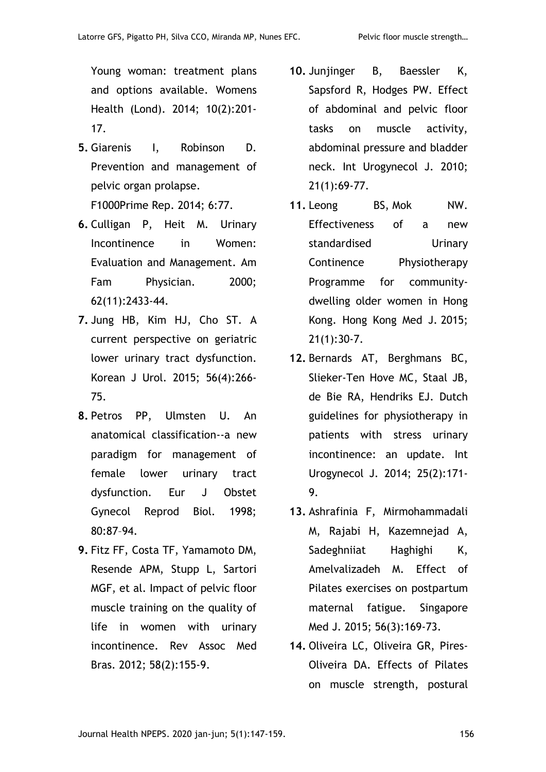Young woman: treatment plans and options available. [Womens](http://www.ncbi.nlm.nih.gov/pubmed/?term=Urinary+incontinence+in+the+young+woman%3A+treatment+plans+and+options+available)  [Health \(Lond\).](http://www.ncbi.nlm.nih.gov/pubmed/?term=Urinary+incontinence+in+the+young+woman%3A+treatment+plans+and+options+available) 2014; 10(2):201- 17.

- **5.** Giarenis I, Robinson D. Prevention and management of pelvic organ prolapse. F1000Prime Rep. 2014; 6:77.
- **6.** Culligan P, Heit M. Urinary Incontinence in Women: Evaluation and Management. Am Fam Physician. 2000; 62(11):2433-44.
- **7.** [Jung HB,](http://www.ncbi.nlm.nih.gov/pubmed/?term=Jung%20HB%5BAuthor%5D&cauthor=true&cauthor_uid=25874039) [Kim HJ,](http://www.ncbi.nlm.nih.gov/pubmed/?term=Kim%20HJ%5BAuthor%5D&cauthor=true&cauthor_uid=25874039) [Cho ST.](http://www.ncbi.nlm.nih.gov/pubmed/?term=Cho%20ST%5BAuthor%5D&cauthor=true&cauthor_uid=25874039) A current perspective on geriatric lower urinary tract dysfunction. [Korean J Urol.](http://www.ncbi.nlm.nih.gov/pubmed/?term=A+current+perspective+on+geriatric+lower+urinary+tract+dysfunction) 2015; 56(4):266- 75.
- **8.** Petros PP, Ulmsten U. An anatomical classification--a new paradigm for management of female lower urinary tract dysfunction. Eur J Obstet Gynecol Reprod Biol. 1998; 80:87–94.
- **9.** Fitz FF, Costa TF, Yamamoto DM, Resende APM, Stupp L, Sartori MGF, et al. Impact of pelvic floor muscle training on the quality of life in women with urinary incontinence. Rev Assoc Med Bras. 2012; 58(2):155-9.
- **10.** Junjinger B, Baessler K, Sapsford R, [Hodges PW.](https://www.ncbi.nlm.nih.gov/pubmed/?term=Hodges%20PW%5BAuthor%5D&cauthor=true&cauthor_uid=19730763) Effect of abdominal and pelvic floor tasks on muscle activity, abdominal pressure and bladder neck. Int Urogynecol J. 2010; 21(1):69-77.
- 11. [Leong BS,](https://www.ncbi.nlm.nih.gov/pubmed/?term=Leong%20BS%5BAuthor%5D&cauthor=true&cauthor_uid=25377297) [Mok NW.](https://www.ncbi.nlm.nih.gov/pubmed/?term=Mok%20NW%5BAuthor%5D&cauthor=true&cauthor_uid=25377297) Effectiveness of a new standardised Urinary Continence Physiotherapy Programme for communitydwelling older women in Hong Kong. [Hong Kong Med J.](https://www.ncbi.nlm.nih.gov/pubmed/25377297) 2015; 21(1):30-7.
- **12.** [Bernards AT,](http://www.ncbi.nlm.nih.gov/pubmed/?term=Bernards%20AT%5BAuthor%5D&cauthor=true&cauthor_uid=24081496) [Berghmans BC,](http://www.ncbi.nlm.nih.gov/pubmed/?term=Berghmans%20BC%5BAuthor%5D&cauthor=true&cauthor_uid=24081496) [Slieker-Ten Hove MC,](http://www.ncbi.nlm.nih.gov/pubmed/?term=Slieker-Ten%20Hove%20MC%5BAuthor%5D&cauthor=true&cauthor_uid=24081496) [Staal JB,](http://www.ncbi.nlm.nih.gov/pubmed/?term=Staal%20JB%5BAuthor%5D&cauthor=true&cauthor_uid=24081496) [de Bie RA,](http://www.ncbi.nlm.nih.gov/pubmed/?term=de%20Bie%20RA%5BAuthor%5D&cauthor=true&cauthor_uid=24081496) [Hendriks EJ.](http://www.ncbi.nlm.nih.gov/pubmed/?term=Hendriks%20EJ%5BAuthor%5D&cauthor=true&cauthor_uid=24081496) Dutch guidelines for physiotherapy in patients with stress urinary incontinence: an update. [Int](http://www.ncbi.nlm.nih.gov/pubmed/?term=guidelines+for+physiotherapy+in+patients+with+stress+urinary+incontinence%3A+an+update)  [Urogynecol J.](http://www.ncbi.nlm.nih.gov/pubmed/?term=guidelines+for+physiotherapy+in+patients+with+stress+urinary+incontinence%3A+an+update) 2014; 25(2):171- 9.
- **13.** [Ashrafinia F,](http://www.ncbi.nlm.nih.gov/pubmed/?term=Ashrafinia%20F%5BAuthor%5D&cauthor=true&cauthor_uid=25820848) [Mirmohammadali](http://www.ncbi.nlm.nih.gov/pubmed/?term=Mirmohammadali%20M%5BAuthor%5D&cauthor=true&cauthor_uid=25820848)  [M,](http://www.ncbi.nlm.nih.gov/pubmed/?term=Mirmohammadali%20M%5BAuthor%5D&cauthor=true&cauthor_uid=25820848) [Rajabi H,](http://www.ncbi.nlm.nih.gov/pubmed/?term=Rajabi%20H%5BAuthor%5D&cauthor=true&cauthor_uid=25820848) [Kazemnejad A,](http://www.ncbi.nlm.nih.gov/pubmed/?term=Kazemnejad%20A%5BAuthor%5D&cauthor=true&cauthor_uid=25820848) [Sadeghniiat Haghighi K,](http://www.ncbi.nlm.nih.gov/pubmed/?term=Sadeghniiat%20Haghighi%20K%5BAuthor%5D&cauthor=true&cauthor_uid=25820848) [Amelvalizadeh M.](http://www.ncbi.nlm.nih.gov/pubmed/?term=Amelvalizadeh%20M%5BAuthor%5D&cauthor=true&cauthor_uid=25820848) Effect of Pilates exercises on postpartum maternal fatigue. [Singapore](http://www.ncbi.nlm.nih.gov/pubmed/?term=Effect+of+Pilates+exercises+on+postpartum+maternal+fatigue)  [Med J.](http://www.ncbi.nlm.nih.gov/pubmed/?term=Effect+of+Pilates+exercises+on+postpartum+maternal+fatigue) 2015; 56(3):169-73.
- **14.** [Oliveira LC](http://www.ncbi.nlm.nih.gov/pubmed/?term=Campos%20de%20Oliveira%20L%5BAuthor%5D&cauthor=true&cauthor_uid=25931749), [Oliveira GR,](http://www.ncbi.nlm.nih.gov/pubmed/?term=Gon%C3%A7alves%20de%20Oliveira%20R%5BAuthor%5D&cauthor=true&cauthor_uid=25931749) [Pires-](http://www.ncbi.nlm.nih.gov/pubmed/?term=Pires-Oliveira%20DA%5BAuthor%5D&cauthor=true&cauthor_uid=25931749)[Oliveira DA.](http://www.ncbi.nlm.nih.gov/pubmed/?term=Pires-Oliveira%20DA%5BAuthor%5D&cauthor=true&cauthor_uid=25931749) Effects of Pilates on muscle strength, postural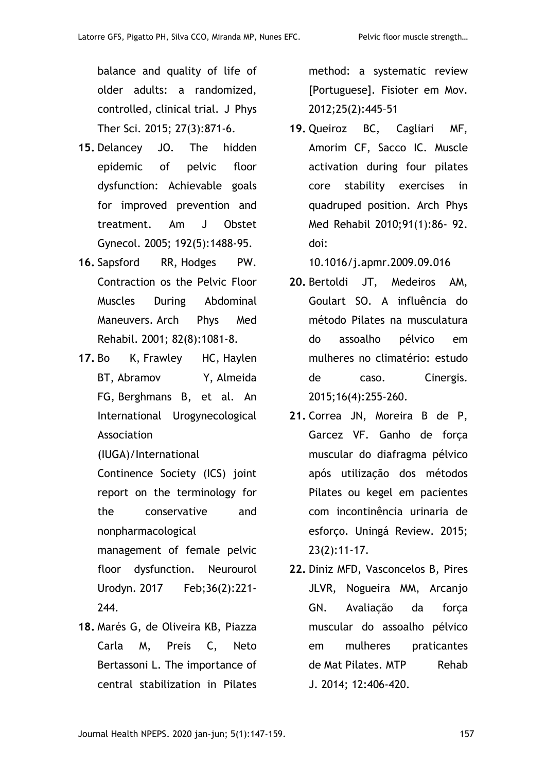balance and quality of life of older adults: a randomized, controlled, clinical trial. [J Phys](http://www.ncbi.nlm.nih.gov/pubmed/?term=Effects+of+Pilates+on+muscle+strength%2C+postural+balance+and+quality+of+life+of+older+adults%3A++a+randomized%2C++controlled%2C+clinical+trial)  [Ther Sci.](http://www.ncbi.nlm.nih.gov/pubmed/?term=Effects+of+Pilates+on+muscle+strength%2C+postural+balance+and+quality+of+life+of+older+adults%3A++a+randomized%2C++controlled%2C+clinical+trial) 2015; 27(3):871-6.

- **15.** Delancey JO. The hidden epidemic of pelvic floor dysfunction: Achievable goals for improved prevention and treatment. [Am J Obstet](http://www.ncbi.nlm.nih.gov/pubmed/?term=The+hidden+epidemic+of+pelvic+floor+dysfunction%3A+Achieavable+goals+for+improved+prevention+and+treatment)  [Gynecol.](http://www.ncbi.nlm.nih.gov/pubmed/?term=The+hidden+epidemic+of+pelvic+floor+dysfunction%3A+Achieavable+goals+for+improved+prevention+and+treatment) 2005; 192(5):1488-95.
- **16.** [Sapsford RR,](http://www.ncbi.nlm.nih.gov/pubmed/?term=Sapsford%20RR%5BAuthor%5D&cauthor=true&cauthor_uid=11494188) [Hodges PW.](http://www.ncbi.nlm.nih.gov/pubmed/?term=Hodges%20PW%5BAuthor%5D&cauthor=true&cauthor_uid=11494188) Contraction os the Pelvic Floor Muscles During Abdominal Maneuvers. [Arch Phys Med](http://www.ncbi.nlm.nih.gov/pubmed/?term=Contraction+os+the+Pelvic+Floor+Muscles+During+Abdominal+Maneuvers.+Archives+of+Physical+Medicine+of+Rehabilitation)  [Rehabil.](http://www.ncbi.nlm.nih.gov/pubmed/?term=Contraction+os+the+Pelvic+Floor+Muscles+During+Abdominal+Maneuvers.+Archives+of+Physical+Medicine+of+Rehabilitation) 2001; 82(8):1081-8.
- **17.** [Bo](https://www.ncbi.nlm.nih.gov/pubmed/?term=Bo%20K%5BAuthor%5D&cauthor=true&cauthor_uid=27918122) K, [Frawley HC,](https://www.ncbi.nlm.nih.gov/pubmed/?term=Frawley%20HC%5BAuthor%5D&cauthor=true&cauthor_uid=27918122) [Haylen](https://www.ncbi.nlm.nih.gov/pubmed/?term=Haylen%20BT%5BAuthor%5D&cauthor=true&cauthor_uid=27918122)  [BT,](https://www.ncbi.nlm.nih.gov/pubmed/?term=Haylen%20BT%5BAuthor%5D&cauthor=true&cauthor_uid=27918122) [Abramov Y,](https://www.ncbi.nlm.nih.gov/pubmed/?term=Abramov%20Y%5BAuthor%5D&cauthor=true&cauthor_uid=27918122) [Almeida](https://www.ncbi.nlm.nih.gov/pubmed/?term=Almeida%20FG%5BAuthor%5D&cauthor=true&cauthor_uid=27918122)  [FG,](https://www.ncbi.nlm.nih.gov/pubmed/?term=Almeida%20FG%5BAuthor%5D&cauthor=true&cauthor_uid=27918122) [Berghmans B,](https://www.ncbi.nlm.nih.gov/pubmed/?term=Berghmans%20B%5BAuthor%5D&cauthor=true&cauthor_uid=27918122) et al. An International Urogynecological Association

(IUGA)/International

Continence Society (ICS) joint report on the terminology for the conservative and nonpharmacological

management of female pelvic floor dysfunction. [Neurourol](https://www.ncbi.nlm.nih.gov/pubmed/27918122)  [Urodyn.](https://www.ncbi.nlm.nih.gov/pubmed/27918122) 2017 Feb;36(2):221- 244.

**18.** Marés G, de Oliveira KB, Piazza Carla M, Preis C, Neto Bertassoni L. The importance of central stabilization in Pilates method: a systematic review [Portuguese]. Fisioter em Mov. 2012;25(2):445–51

**19.** Queiroz BC, Cagliari MF, Amorim CF, Sacco IC. Muscle activation during four pilates core stability exercises in quadruped position. Arch Phys Med Rehabil 2010;91(1):86- 92. doi:

10.1016/j.apmr.2009.09.016

- **20.** Bertoldi JT, Medeiros AM, Goulart SO. A influência do método Pilates na musculatura do assoalho pélvico em mulheres no climatério: estudo de caso. Cinergis. 2015;16(4):255-260.
- **21.** Correa JN, Moreira B de P, Garcez VF. Ganho de força muscular do diafragma pélvico após utilização dos métodos Pilates ou kegel em pacientes com incontinência urinaria de esforço. Uningá Review. 2015; 23(2):11-17.
- **22.** Diniz MFD, Vasconcelos B, Pires JLVR, Nogueira MM, Arcanjo GN. Avaliação da força muscular do assoalho pélvico em mulheres praticantes de Mat Pilates. MTP Rehab J. 2014; 12:406-420.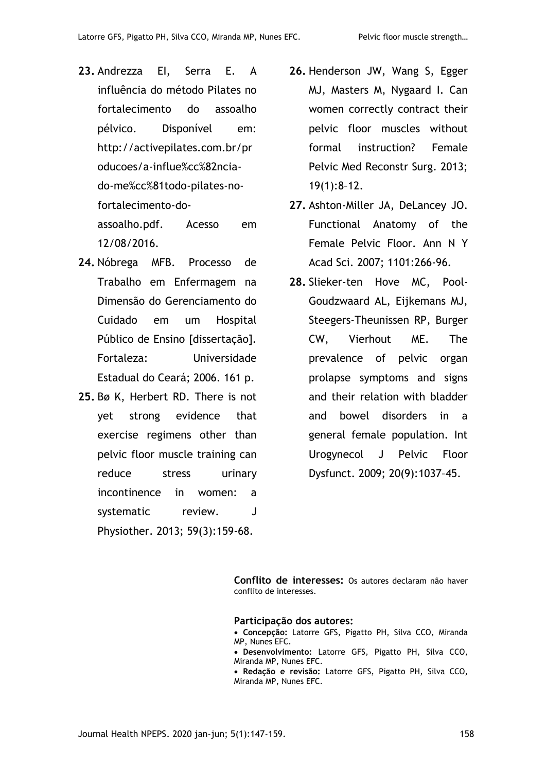- **23.** Andrezza EI, Serra E. A influência do método Pilates no fortalecimento do assoalho pélvico. Disponível em: [http://activepilates.com.br/pr](http://activepilates.com.br/producoes/A-INFLUE%CC%82NCIA-DO-ME%CC%81TODO-PILATES-NO-FORTALECIMENTO-DO-ASSOALHO.pdf) [oducoes/a-influe%cc%82ncia](http://activepilates.com.br/producoes/A-INFLUE%CC%82NCIA-DO-ME%CC%81TODO-PILATES-NO-FORTALECIMENTO-DO-ASSOALHO.pdf)[do-me%cc%81todo-pilates-no](http://activepilates.com.br/producoes/A-INFLUE%CC%82NCIA-DO-ME%CC%81TODO-PILATES-NO-FORTALECIMENTO-DO-ASSOALHO.pdf)[fortalecimento-do](http://activepilates.com.br/producoes/A-INFLUE%CC%82NCIA-DO-ME%CC%81TODO-PILATES-NO-FORTALECIMENTO-DO-ASSOALHO.pdf)[assoalho.pdf.](http://activepilates.com.br/producoes/A-INFLUE%CC%82NCIA-DO-ME%CC%81TODO-PILATES-NO-FORTALECIMENTO-DO-ASSOALHO.pdf) Acesso em 12/08/2016.
- **24.** Nóbrega MFB. Processo de Trabalho em Enfermagem na Dimensão do Gerenciamento do Cuidado em um Hospital Público de Ensino [dissertação]. Fortaleza: Universidade Estadual do Ceará; 2006. 161 p.
- **25.** [Bø K,](http://www.ncbi.nlm.nih.gov/pubmed/?term=B%C3%B8%20K%5BAuthor%5D&cauthor=true&cauthor_uid=23896331) [Herbert RD.](http://www.ncbi.nlm.nih.gov/pubmed/?term=Herbert%20RD%5BAuthor%5D&cauthor=true&cauthor_uid=23896331) There is not yet strong evidence that exercise regimens other than pelvic floor muscle training can reduce stress urinary incontinence in women: a systematic review. J [Physiother.](http://www.ncbi.nlm.nih.gov/pubmed/?term=There+is+not+yet+strong+evidence+that+exercise+regimens+other+than+pelvic+floor+muscle+training+can+reduce+stress+urinary+incontinence+in+women%3Aa+systematic+review.) 2013; 59(3):159-68.
- **26.** Henderson JW, Wang S, Egger MJ, Masters M, Nygaard I. Can women correctly contract their pelvic floor muscles without formal instruction? Female Pelvic Med Reconstr Surg. 2013; 19(1):8–12.
- **27.** Ashton-Miller JA, DeLancey JO. Functional Anatomy of the Female Pelvic Floor. Ann N Y Acad Sci. 2007; 1101:266-96.
- **28.** Slieker-ten Hove MC, Pool-Goudzwaard AL, Eijkemans MJ, Steegers-Theunissen RP, Burger CW, Vierhout ME. The prevalence of pelvic organ prolapse symptoms and signs and their relation with bladder and bowel disorders in a general female population. Int Urogynecol J Pelvic Floor Dysfunct. 2009; 20(9):1037–45.

**Conflito de interesses:** Os autores declaram não haver conflito de interesses.

#### **Participação dos autores:**

- **Concepção:** Latorre GFS, Pigatto PH, Silva CCO, Miranda MP, Nunes EFC.
- **Desenvolvimento:** Latorre GFS, Pigatto PH, Silva CCO, Miranda MP, Nunes EFC.
- **Redação e revisão:** Latorre GFS, Pigatto PH, Silva CCO, Miranda MP, Nunes EFC.